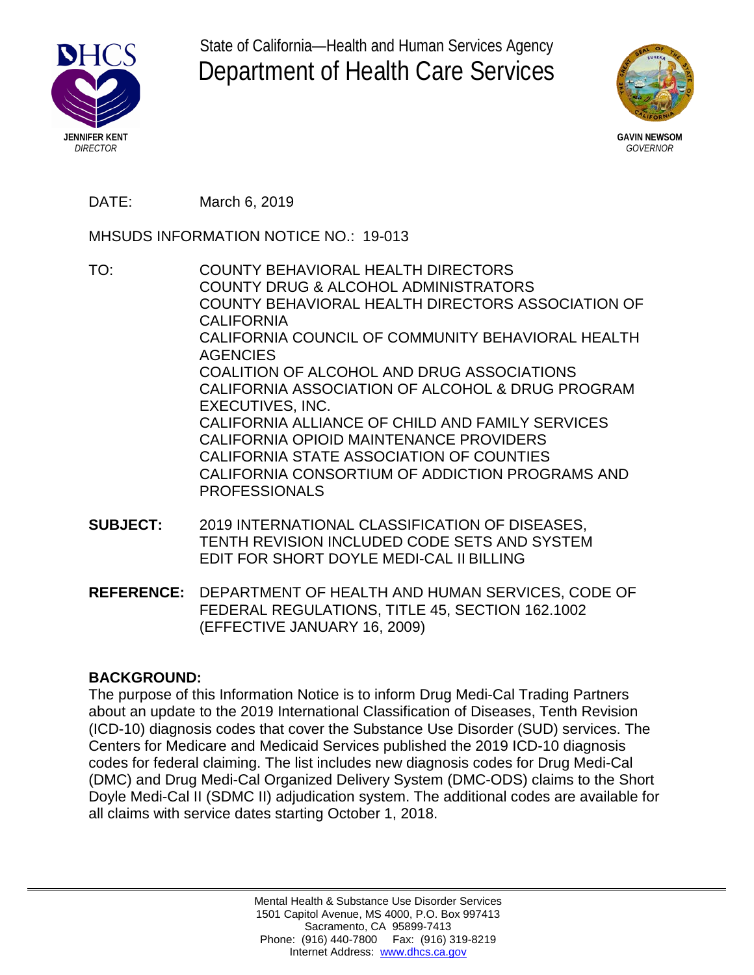

State of California—Health and Human Services Agency Department of Health Care Services



**GAVIN NEWSOM** *GOVERNOR*

DATE: March 6, 2019

MHSUDS INFORMATION NOTICE NO.: 19-013

- TO: COUNTY BEHAVIORAL HEALTH DIRECTORS COUNTY DRUG & ALCOHOL ADMINISTRATORS COUNTY BEHAVIORAL HEALTH DIRECTORS ASSOCIATION OF CALIFORNIA CALIFORNIA COUNCIL OF COMMUNITY BEHAVIORAL HEALTH **AGENCIES** COALITION OF ALCOHOL AND DRUG ASSOCIATIONS CALIFORNIA ASSOCIATION OF ALCOHOL & DRUG PROGRAM EXECUTIVES, INC. CALIFORNIA ALLIANCE OF CHILD AND FAMILY SERVICES CALIFORNIA OPIOID MAINTENANCE PROVIDERS CALIFORNIA STATE ASSOCIATION OF COUNTIES CALIFORNIA CONSORTIUM OF ADDICTION PROGRAMS AND PROFESSIONALS
- **SUBJECT:** 2019 INTERNATIONAL CLASSIFICATION OF DISEASES, TENTH REVISION INCLUDED CODE SETS AND SYSTEM EDIT FOR SHORT DOYLE MEDI-CAL II BILLING
- **REFERENCE:** DEPARTMENT OF HEALTH AND HUMAN SERVICES, CODE OF FEDERAL REGULATIONS, TITLE 45, SECTION 162.1002 (EFFECTIVE JANUARY 16, 2009)

## **BACKGROUND:**

The purpose of this Information Notice is to inform Drug Medi-Cal Trading Partners about an update to the 2019 International Classification of Diseases, Tenth Revision (ICD-10) diagnosis codes that cover the Substance Use Disorder (SUD) services. The Centers for Medicare and Medicaid Services published the 2019 ICD-10 diagnosis codes for federal claiming. The list includes new diagnosis codes for Drug Medi-Cal (DMC) and Drug Medi-Cal Organized Delivery System (DMC-ODS) claims to the Short Doyle Medi-Cal II (SDMC II) adjudication system. The additional codes are available for all claims with service dates starting October 1, 2018.